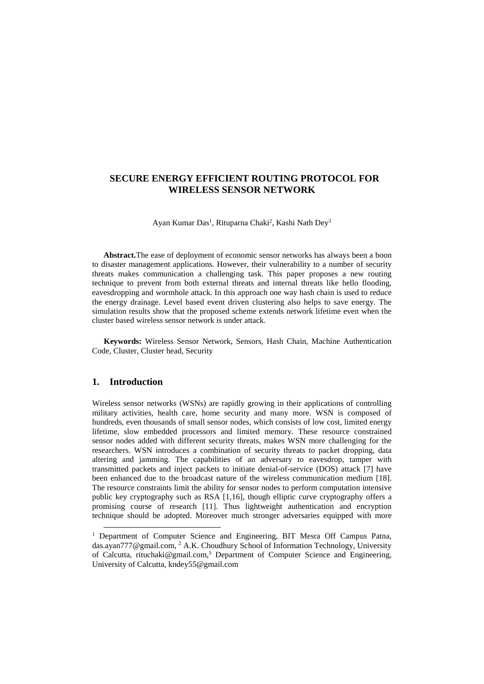

OPEN

DOI: 10.1515/fcds-2016-0001

# **[1S](#page-0-0)ECURE ENERGY EFFICIENT ROUTING PROTOCOL FOR WIRELESS SENSOR NETWORK**

Ayan Kumar Das<sup>1</sup>, Rituparna Chaki<sup>2</sup>, Kashi Nath Dey<sup>3</sup>

**Abstract.**The ease of deployment of economic sensor networks has always been a boon to disaster management applications. However, their vulnerability to a number of security threats makes communication a challenging task. This paper proposes a new routing technique to prevent from both external threats and internal threats like hello flooding, eavesdropping and wormhole attack. In this approach one way hash chain is used to reduce the energy drainage. Level based event driven clustering also helps to save energy. The simulation results show that the proposed scheme extends network lifetime even when the cluster based wireless sensor network is under attack.

**Keywords:** Wireless Sensor Network, Sensors, Hash Chain, Machine Authentication Code, Cluster, Cluster head, Security

## **1. Introduction**

Wireless sensor networks (WSNs) are rapidly growing in their applications of controlling military activities, health care, home security and many more. WSN is composed of hundreds, even thousands of small sensor nodes, which consists of low cost, limited energy lifetime, slow embedded processors and limited memory. These resource constrained sensor nodes added with different security threats, makes WSN more challenging for the researchers. WSN introduces a combination of security threats to packet dropping, data altering and jamming. The capabilities of an adversary to eavesdrop, tamper with transmitted packets and inject packets to initiate denial-of-service (DOS) attack [7] have been enhanced due to the broadcast nature of the wireless communication medium [18]. The resource constraints limit the ability for sensor nodes to perform computation intensive public key cryptography such as RSA [1,16], though elliptic curve cryptography offers a promising course of research [11]. Thus lightweight authentication and encryption technique should be adopted. Moreover much stronger adversaries equipped with more

<span id="page-0-0"></span><sup>&</sup>lt;sup>1</sup> Department of Computer Science and Engineering, BIT Mesra Off Campus Patna, das.ayan777@gmail.com, 2 A.K. Choudhury School of Information Technology, University of Calcutta, rituchaki@gmail.com,<sup>3</sup> Department of Computer Science and Engineering, University of Calcutta, kndey55@gmail.com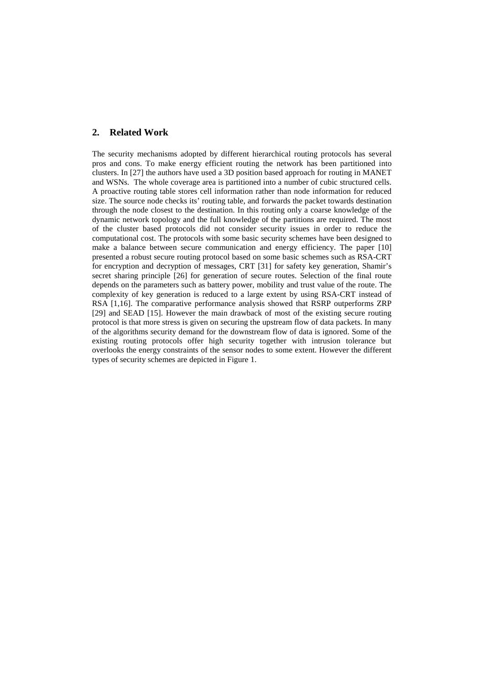## **2. Related Work**

The security mechanisms adopted by different hierarchical routing protocols has several pros and cons. To make energy efficient routing the network has been partitioned into clusters. In [27] the authors have used a 3D position based approach for routing in MANET and WSNs. The whole coverage area is partitioned into a number of cubic structured cells. A proactive routing table stores cell information rather than node information for reduced size. The source node checks its' routing table, and forwards the packet towards destination through the node closest to the destination. In this routing only a coarse knowledge of the dynamic network topology and the full knowledge of the partitions are required. The most of the cluster based protocols did not consider security issues in order to reduce the computational cost. The protocols with some basic security schemes have been designed to make a balance between secure communication and energy efficiency. The paper [10] presented a robust secure routing protocol based on some basic schemes such as RSA-CRT for encryption and decryption of messages, CRT [31] for safety key generation, Shamir's secret sharing principle [26] for generation of secure routes. Selection of the final route depends on the parameters such as battery power, mobility and trust value of the route. The complexity of key generation is reduced to a large extent by using RSA-CRT instead of RSA [1,16]. The comparative performance analysis showed that RSRP outperforms ZRP [29] and SEAD [15]. However the main drawback of most of the existing secure routing protocol is that more stress is given on securing the upstream flow of data packets. In many of the algorithms security demand for the downstream flow of data is ignored. Some of the existing routing protocols offer high security together with intrusion tolerance but overlooks the energy constraints of the sensor nodes to some extent. However the different types of security schemes are depicted in Figure 1.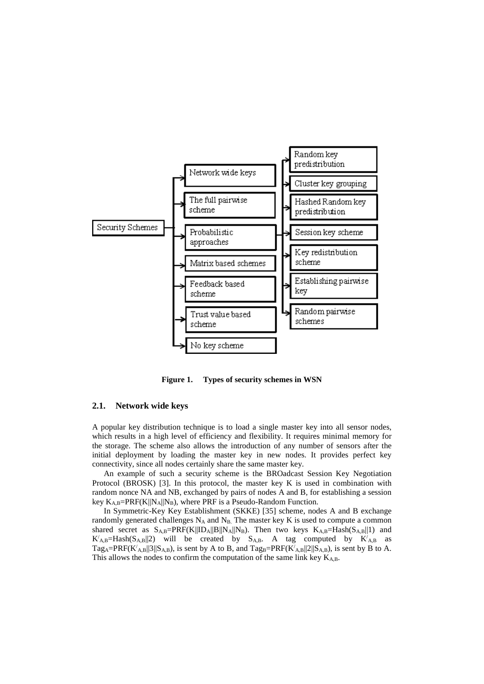

**Figure 1. Types of security schemes in WSN**

## **2.1. Network wide keys**

A popular key distribution technique is to load a single master key into all sensor nodes, which results in a high level of efficiency and flexibility. It requires minimal memory for the storage. The scheme also allows the introduction of any number of sensors after the initial deployment by loading the master key in new nodes. It provides perfect key connectivity, since all nodes certainly share the same master key.

An example of such a security scheme is the BROadcast Session Key Negotiation Protocol (BROSK) [3]. In this protocol, the master key K is used in combination with random nonce NA and NB, exchanged by pairs of nodes A and B, for establishing a session key  $K_{A,B} = PRF(K||N_A||N_B)$ , where PRF is a Pseudo-Random Function.

In Symmetric-Key Key Establishment (SKKE) [35] scheme, nodes A and B exchange randomly generated challenges  $N_A$  and  $N_B$ . The master key K is used to compute a common shared secret as  $S_{A,B}$ =PRF(K||ID<sub>A</sub>||B||N<sub>A</sub>||N<sub>B</sub>). Then two keys  $K_{A,B}$ =Hash(S<sub>A,B</sub>||1) and  $K'_{A,B}$ =Hash(S<sub>A,B</sub>||2) will be created by S<sub>A,B</sub>. A tag computed by  $K'_{A,B}$  as Tag<sub>A</sub>=PRF(K<sup>/</sup><sub>A,B</sub>||3||S<sub>A,B</sub>), is sent by A to B, and Tag<sub>B</sub>=PRF(K<sup>/</sup><sub>A,B</sub>||2||S<sub>A,B</sub>), is sent by B to A. This allows the nodes to confirm the computation of the same link key  $K_{A,B}$ .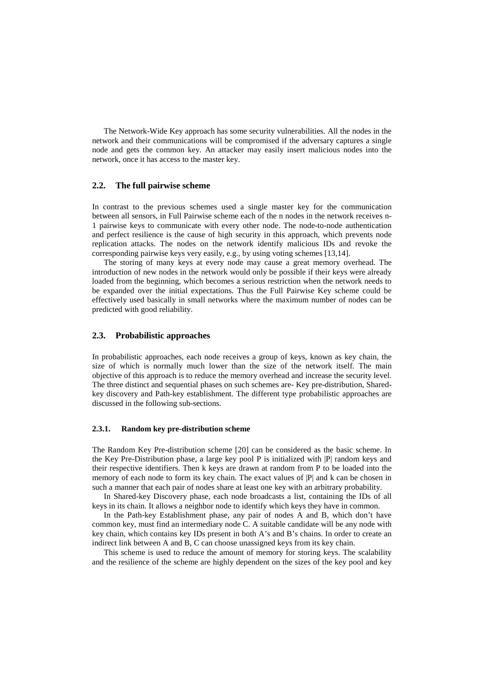The Network-Wide Key approach has some security vulnerabilities. All the nodes in the network and their communications will be compromised if the adversary captures a single node and gets the common key. An attacker may easily insert malicious nodes into the network, once it has access to the master key.

### **2.2. The full pairwise scheme**

In contrast to the previous schemes used a single master key for the communication between all sensors, in Full Pairwise scheme each of the n nodes in the network receives n-1 pairwise keys to communicate with every other node. The node-to-node authentication and perfect resilience is the cause of high security in this approach, which prevents node replication attacks. The nodes on the network identify malicious IDs and revoke the corresponding pairwise keys very easily, e.g., by using voting schemes [13,14].

The storing of many keys at every node may cause a great memory overhead. The introduction of new nodes in the network would only be possible if their keys were already loaded from the beginning, which becomes a serious restriction when the network needs to be expanded over the initial expectations. Thus the Full Pairwise Key scheme could be effectively used basically in small networks where the maximum number of nodes can be predicted with good reliability.

#### **2.3. Probabilistic approaches**

In probabilistic approaches, each node receives a group of keys, known as key chain, the size of which is normally much lower than the size of the network itself. The main objective of this approach is to reduce the memory overhead and increase the security level. The three distinct and sequential phases on such schemes are- Key pre-distribution, Sharedkey discovery and Path-key establishment. The different type probabilistic approaches are discussed in the following sub-sections.

#### **2.3.1. Random key pre-distribution scheme**

The Random Key Pre-distribution scheme [20] can be considered as the basic scheme. In the Key Pre-Distribution phase, a large key pool P is initialized with |P| random keys and their respective identifiers. Then k keys are drawn at random from P to be loaded into the memory of each node to form its key chain. The exact values of  $|P|$  and k can be chosen in such a manner that each pair of nodes share at least one key with an arbitrary probability.

In Shared-key Discovery phase, each node broadcasts a list, containing the IDs of all keys in its chain. It allows a neighbor node to identify which keys they have in common.

In the Path-key Establishment phase, any pair of nodes A and B, which don't have common key, must find an intermediary node C. A suitable candidate will be any node with key chain, which contains key IDs present in both A's and B's chains. In order to create an indirect link between A and B, C can choose unassigned keys from its key chain.

This scheme is used to reduce the amount of memory for storing keys. The scalability and the resilience of the scheme are highly dependent on the sizes of the key pool and key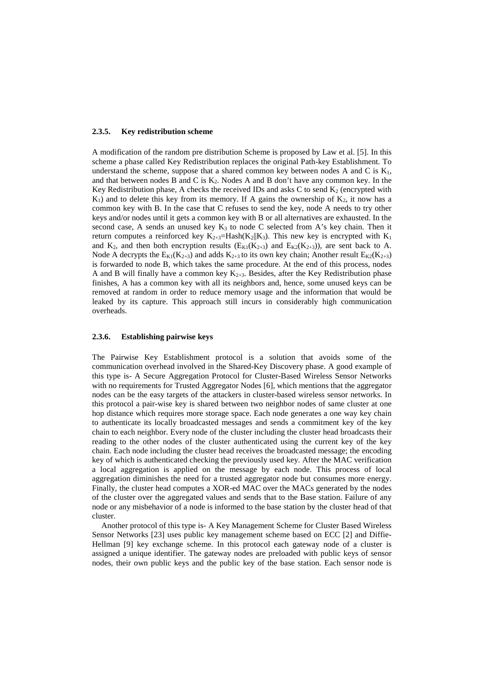## **2.3.5. Key redistribution scheme**

A modification of the random pre distribution Scheme is proposed by Law et al. [5]. In this scheme a phase called Key Redistribution replaces the original Path-key Establishment. To understand the scheme, suppose that a shared common key between nodes A and C is  $K_1$ , and that between nodes B and C is  $K_2$ . Nodes A and B don't have any common key. In the Key Redistribution phase, A checks the received IDs and asks C to send  $K_2$  (encrypted with  $K_1$ ) and to delete this key from its memory. If A gains the ownership of  $K_2$ , it now has a common key with B. In the case that C refuses to send the key, node A needs to try other keys and/or nodes until it gets a common key with B or all alternatives are exhausted. In the second case, A sends an unused key  $K_3$  to node C selected from A's key chain. Then it return computes a reinforced key  $K_{2+3}$ =Hash( $K_{2}$ || $K_{3}$ ). This new key is encrypted with  $K_{1}$ and K<sub>2</sub>, and then both encryption results ( $E_{K1}(K_{2+3})$ ) and  $E_{K2}(K_{2+3})$ ), are sent back to A. Node A decrypts the  $E_{K1}(K_{2+3})$  and adds  $K_{2+3}$  to its own key chain; Another result  $E_{K2}(K_{2+3})$ is forwarded to node B, which takes the same procedure. At the end of this process, nodes A and B will finally have a common key  $K_{2+3}$ . Besides, after the Key Redistribution phase finishes, A has a common key with all its neighbors and, hence, some unused keys can be removed at random in order to reduce memory usage and the information that would be leaked by its capture. This approach still incurs in considerably high communication overheads.

#### **2.3.6. Establishing pairwise keys**

The Pairwise Key Establishment protocol is a solution that avoids some of the communication overhead involved in the Shared-Key Discovery phase. A good example of this type is- A Secure Aggregation Protocol for Cluster-Based Wireless Sensor Networks with no requirements for Trusted Aggregator Nodes [6], which mentions that the aggregator nodes can be the easy targets of the attackers in cluster-based wireless sensor networks. In this protocol a pair-wise key is shared between two neighbor nodes of same cluster at one hop distance which requires more storage space. Each node generates a one way key chain to authenticate its locally broadcasted messages and sends a commitment key of the key chain to each neighbor. Every node of the cluster including the cluster head broadcasts their reading to the other nodes of the cluster authenticated using the current key of the key chain. Each node including the cluster head receives the broadcasted message; the encoding key of which is authenticated checking the previously used key. After the MAC verification a local aggregation is applied on the message by each node. This process of local aggregation diminishes the need for a trusted aggregator node but consumes more energy. Finally, the cluster head computes a XOR-ed MAC over the MACs generated by the nodes of the cluster over the aggregated values and sends that to the Base station. Failure of any node or any misbehavior of a node is informed to the base station by the cluster head of that cluster.

Another protocol of this type is- A Key Management Scheme for Cluster Based Wireless Sensor Networks [23] uses public key management scheme based on ECC [2] and Diffie-Hellman [9] key exchange scheme. In this protocol each gateway node of a cluster is assigned a unique identifier. The gateway nodes are preloaded with public keys of sensor nodes, their own public keys and the public key of the base station. Each sensor node is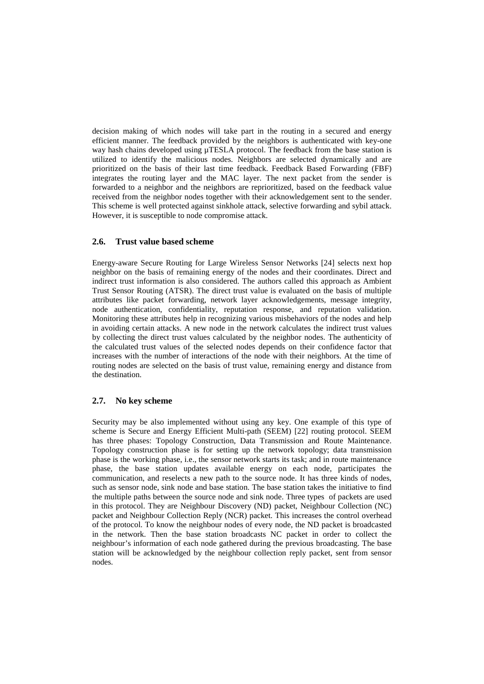decision making of which nodes will take part in the routing in a secured and energy efficient manner. The feedback provided by the neighbors is authenticated with key-one way hash chains developed using  $\mu$ TESLA protocol. The feedback from the base station is utilized to identify the malicious nodes. Neighbors are selected dynamically and are prioritized on the basis of their last time feedback. Feedback Based Forwarding (FBF) integrates the routing layer and the MAC layer. The next packet from the sender is forwarded to a neighbor and the neighbors are reprioritized, based on the feedback value received from the neighbor nodes together with their acknowledgement sent to the sender. This scheme is well protected against sinkhole attack, selective forwarding and sybil attack. However, it is susceptible to node compromise attack.

### **2.6. Trust value based scheme**

Energy-aware Secure Routing for Large Wireless Sensor Networks [24] selects next hop neighbor on the basis of remaining energy of the nodes and their coordinates. Direct and indirect trust information is also considered. The authors called this approach as Ambient Trust Sensor Routing (ATSR). The direct trust value is evaluated on the basis of multiple attributes like packet forwarding, network layer acknowledgements, message integrity, node authentication, confidentiality, reputation response, and reputation validation. Monitoring these attributes help in recognizing various misbehaviors of the nodes and help in avoiding certain attacks. A new node in the network calculates the indirect trust values by collecting the direct trust values calculated by the neighbor nodes. The authenticity of the calculated trust values of the selected nodes depends on their confidence factor that increases with the number of interactions of the node with their neighbors. At the time of routing nodes are selected on the basis of trust value, remaining energy and distance from the destination.

## **2.7. No key scheme**

Security may be also implemented without using any key. One example of this type of scheme is Secure and Energy Efficient Multi-path (SEEM) [22] routing protocol. SEEM has three phases: Topology Construction, Data Transmission and Route Maintenance. Topology construction phase is for setting up the network topology; data transmission phase is the working phase, i.e., the sensor network starts its task; and in route maintenance phase, the base station updates available energy on each node, participates the communication, and reselects a new path to the source node. It has three kinds of nodes, such as sensor node, sink node and base station. The base station takes the initiative to find the multiple paths between the source node and sink node. Three types of packets are used in this protocol. They are Neighbour Discovery (ND) packet, Neighbour Collection (NC) packet and Neighbour Collection Reply (NCR) packet. This increases the control overhead of the protocol. To know the neighbour nodes of every node, the ND packet is broadcasted in the network. Then the base station broadcasts NC packet in order to collect the neighbour's information of each node gathered during the previous broadcasting. The base station will be acknowledged by the neighbour collection reply packet, sent from sensor nodes.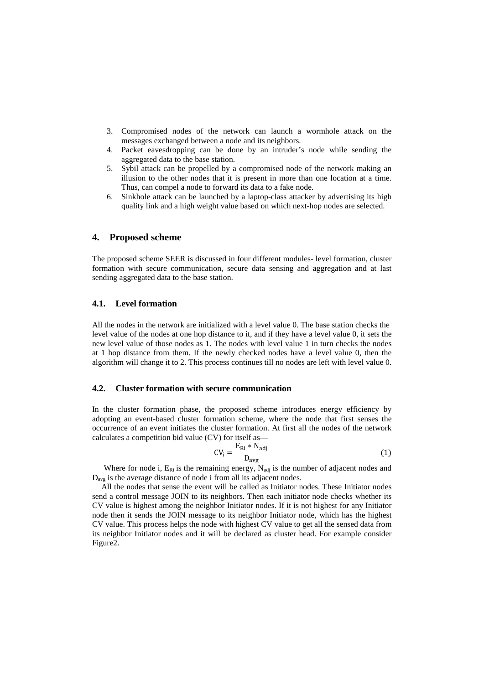- 3. Compromised nodes of the network can launch a wormhole attack on the messages exchanged between a node and its neighbors.
- 4. Packet eavesdropping can be done by an intruder's node while sending the aggregated data to the base station.
- 5. Sybil attack can be propelled by a compromised node of the network making an illusion to the other nodes that it is present in more than one location at a time. Thus, can compel a node to forward its data to a fake node.
- 6. Sinkhole attack can be launched by a laptop-class attacker by advertising its high quality link and a high weight value based on which next-hop nodes are selected.

### **4. Proposed scheme**

The proposed scheme SEER is discussed in four different modules- level formation, cluster formation with secure communication, secure data sensing and aggregation and at last sending aggregated data to the base station.

### **4.1. Level formation**

All the nodes in the network are initialized with a level value 0. The base station checks the level value of the nodes at one hop distance to it, and if they have a level value 0, it sets the new level value of those nodes as 1. The nodes with level value 1 in turn checks the nodes at 1 hop distance from them. If the newly checked nodes have a level value 0, then the algorithm will change it to 2. This process continues till no nodes are left with level value 0.

### **4.2. Cluster formation with secure communication**

In the cluster formation phase, the proposed scheme introduces energy efficiency by adopting an event-based cluster formation scheme, where the node that first senses the occurrence of an event initiates the cluster formation. At first all the nodes of the network calculates a competition bid value (CV) for itself as—

$$
CV_i = \frac{E_{Ri} * N_{adj}}{D_{avg}}
$$
 (1)

Where for node i,  $E_{\text{Ri}}$  is the remaining energy,  $N_{\text{adj}}$  is the number of adjacent nodes and D<sub>avg</sub> is the average distance of node i from all its adjacent nodes.

All the nodes that sense the event will be called as Initiator nodes. These Initiator nodes send a control message JOIN to its neighbors. Then each initiator node checks whether its CV value is highest among the neighbor Initiator nodes. If it is not highest for any Initiator node then it sends the JOIN message to its neighbor Initiator node, which has the highest CV value. This process helps the node with highest CV value to get all the sensed data from its neighbor Initiator nodes and it will be declared as cluster head. For example consider Figure2.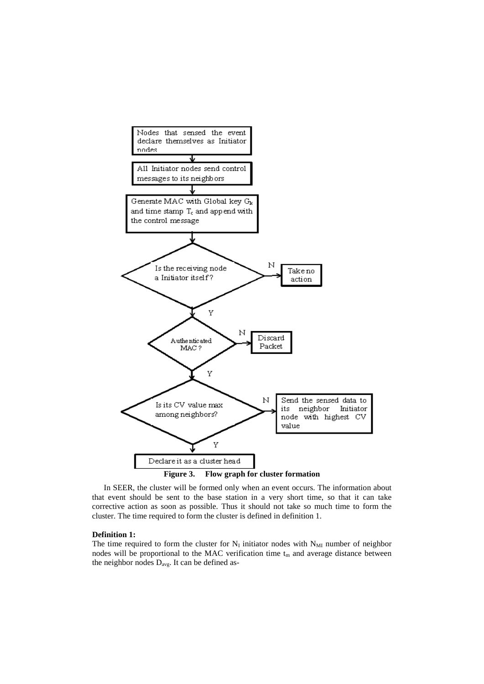

In SEER, the cluster will be formed only when an event occurs. The information about that event should be sent to the base station in a very short time, so that it can take corrective action as soon as possible. Thus it should not take so much time to form the cluster. The time required to form the cluster is defined in definition 1.

#### **Definition 1:**

The time required to form the cluster for  $N_I$  initiator nodes with  $N_M$  number of neighbor nodes will be proportional to the MAC verification time  $t_m$  and average distance between the neighbor nodes Davg. It can be defined as-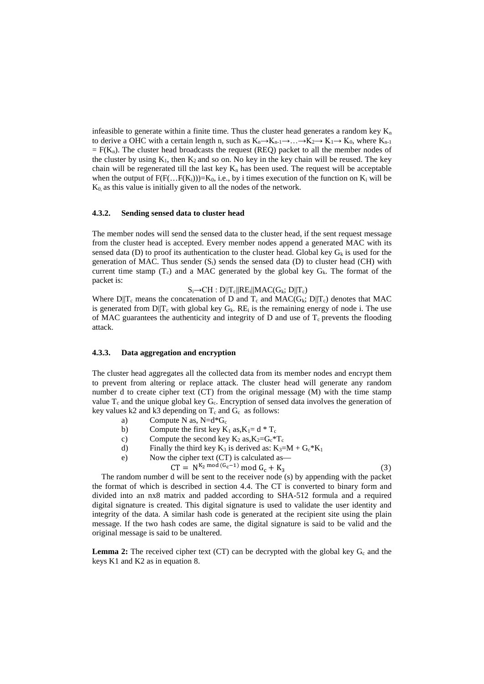infeasible to generate within a finite time. Thus the cluster head generates a random key  $K_n$ to derive a OHC with a certain length n, such as  $K_n \to K_{n-1} \to \ldots \to K_2 \to K_1 \to K_0$ , where  $K_{n-1}$  $= F(K_n)$ . The cluster head broadcasts the request (REQ) packet to all the member nodes of the cluster by using  $K_1$ , then  $K_2$  and so on. No key in the key chain will be reused. The key chain will be regenerated till the last key  $K_n$  has been used. The request will be acceptable when the output of  $F(F(...F(K_i)))=K_0$ , i.e., by i times execution of the function on  $K_i$  will be  $K<sub>0</sub>$  as this value is initially given to all the nodes of the network.

#### **4.3.2. Sending sensed data to cluster head**

The member nodes will send the sensed data to the cluster head, if the sent request message from the cluster head is accepted. Every member nodes append a generated MAC with its sensed data (D) to proof its authentication to the cluster head. Global key  $G_k$  is used for the generation of MAC. Thus sender  $(S_i)$  sends the sensed data (D) to cluster head (CH) with current time stamp  $(T_c)$  and a MAC generated by the global key  $G_k$ . The format of the packet is:

 $S_i \rightarrow CH : D||T_c||RE_i||MAC(G_k; D||T_c)$ 

Where  $D||T_c$  means the concatenation of D and  $T_c$  and  $MAC(G_k; D||T_c)$  denotes that MAC is generated from  $D||T_c$  with global key  $G_k$ . RE<sub>i</sub> is the remaining energy of node i. The use of MAC guarantees the authenticity and integrity of D and use of  $T_c$  prevents the flooding attack.

#### **4.3.3. Data aggregation and encryption**

The cluster head aggregates all the collected data from its member nodes and encrypt them to prevent from altering or replace attack. The cluster head will generate any random number d to create cipher text (CT) from the original message (M) with the time stamp value  $T_c$  and the unique global key  $G_c$ . Encryption of sensed data involves the generation of key values k2 and k3 depending on  $T_c$  and  $G_c$  as follows:

- a) Compute N as,  $N=d*G_c$
- b) Compute the first key  $K_1$  as,  $K_1 = d * T_c$
- c) Compute the second key  $K_2$  as,  $K_2 = G_c * T_c$
- d) Finally the third key  $K_3$  is derived as:  $K_3=M+G_c*K_1$
- e) Now the cipher text (CT) is calculated as—
	- $CT = N^{K_2 \mod(G_c 1)} \mod G_c + K_3$  (3)

The random number d will be sent to the receiver node (s) by appending with the packet the format of which is described in section 4.4. The CT is converted to binary form and divided into an nx8 matrix and padded according to SHA-512 formula and a required digital signature is created. This digital signature is used to validate the user identity and integrity of the data. A similar hash code is generated at the recipient site using the plain message. If the two hash codes are same, the digital signature is said to be valid and the original message is said to be unaltered.

**Lemma 2:** The received cipher text (CT) can be decrypted with the global key  $G_c$  and the keys K1 and K2 as in equation 8.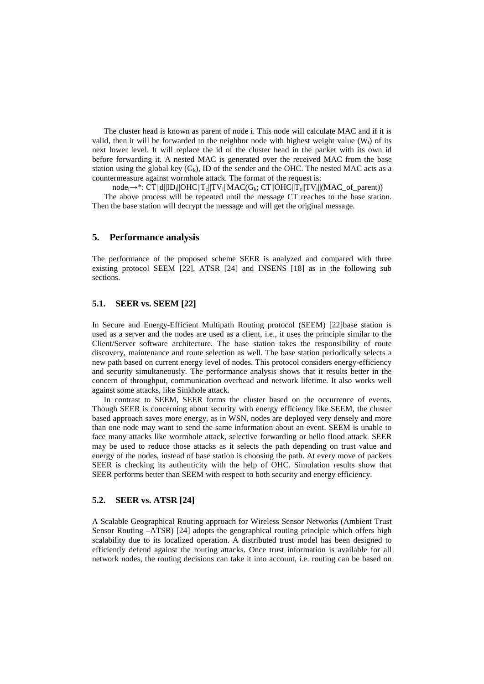The cluster head is known as parent of node i. This node will calculate MAC and if it is valid, then it will be forwarded to the neighbor node with highest weight value  $(W<sub>t</sub>)$  of its next lower level. It will replace the id of the cluster head in the packet with its own id before forwarding it. A nested MAC is generated over the received MAC from the base station using the global key  $(G_k)$ , ID of the sender and the OHC. The nested MAC acts as a countermeasure against wormhole attack. The format of the request is:

 $node_i \rightarrow^*: C T||d||ID_i||OHC||T_c||TV_i||MAC(G_k; CT||OHC||T_c||TV_i||(MAC of parent))$ 

The above process will be repeated until the message CT reaches to the base station. Then the base station will decrypt the message and will get the original message.

#### **5. Performance analysis**

The performance of the proposed scheme SEER is analyzed and compared with three existing protocol SEEM [22], ATSR [24] and INSENS [18] as in the following sub sections.

### **5.1. SEER vs. SEEM [22]**

In Secure and Energy-Efficient Multipath Routing protocol (SEEM) [22]base station is used as a server and the nodes are used as a client, i.e., it uses the principle similar to the Client/Server software architecture. The base station takes the responsibility of route discovery, maintenance and route selection as well. The base station periodically selects a new path based on current energy level of nodes. This protocol considers energy-efficiency and security simultaneously. The performance analysis shows that it results better in the concern of throughput, communication overhead and network lifetime. It also works well against some attacks, like Sinkhole attack.

In contrast to SEEM, SEER forms the cluster based on the occurrence of events. Though SEER is concerning about security with energy efficiency like SEEM, the cluster based approach saves more energy, as in WSN, nodes are deployed very densely and more than one node may want to send the same information about an event. SEEM is unable to face many attacks like wormhole attack, selective forwarding or hello flood attack. SEER may be used to reduce those attacks as it selects the path depending on trust value and energy of the nodes, instead of base station is choosing the path. At every move of packets SEER is checking its authenticity with the help of OHC. Simulation results show that SEER performs better than SEEM with respect to both security and energy efficiency.

## **5.2. SEER vs. ATSR [24]**

A Scalable Geographical Routing approach for Wireless Sensor Networks (Ambient Trust Sensor Routing –ATSR) [24] adopts the geographical routing principle which offers high scalability due to its localized operation. A distributed trust model has been designed to efficiently defend against the routing attacks. Once trust information is available for all network nodes, the routing decisions can take it into account, i.e. routing can be based on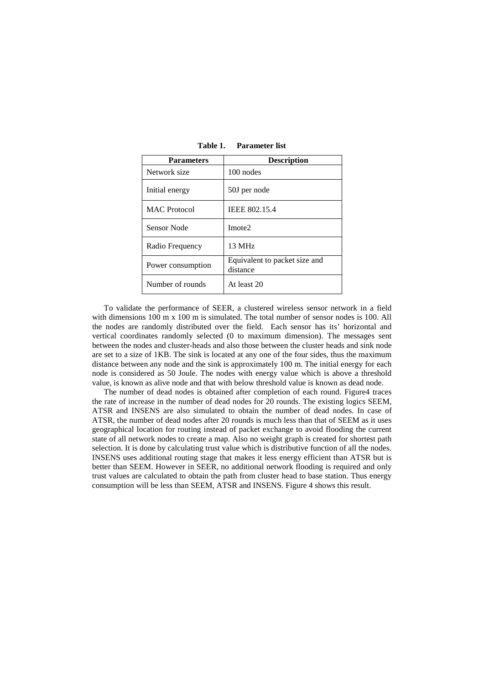| <b>Parameters</b> | <b>Description</b>                        |
|-------------------|-------------------------------------------|
| Network size      | 100 nodes                                 |
| Initial energy    | 50J per node                              |
| MAC Protocol      | <b>IEEE 802.15.4</b>                      |
| Sensor Node       | Imote <sub>2</sub>                        |
| Radio Frequency   | 13 MHz                                    |
| Power consumption | Equivalent to packet size and<br>distance |
| Number of rounds  | At least 20                               |

**Table 1. Parameter list**

To validate the performance of SEER, a clustered wireless sensor network in a field with dimensions 100 m x 100 m is simulated. The total number of sensor nodes is 100. All the nodes are randomly distributed over the field. Each sensor has its' horizontal and vertical coordinates randomly selected (0 to maximum dimension). The messages sent between the nodes and cluster-heads and also those between the cluster heads and sink node are set to a size of 1KB. The sink is located at any one of the four sides, thus the maximum distance between any node and the sink is approximately 100 m. The initial energy for each node is considered as 50 Joule. The nodes with energy value which is above a threshold value, is known as alive node and that with below threshold value is known as dead node.

The number of dead nodes is obtained after completion of each round. Figure4 traces the rate of increase in the number of dead nodes for 20 rounds. The existing logics SEEM, ATSR and INSENS are also simulated to obtain the number of dead nodes. In case of ATSR, the number of dead nodes after 20 rounds is much less than that of SEEM as it uses geographical location for routing instead of packet exchange to avoid flooding the current state of all network nodes to create a map. Also no weight graph is created for shortest path selection. It is done by calculating trust value which is distributive function of all the nodes. INSENS uses additional routing stage that makes it less energy efficient than ATSR but is better than SEEM. However in SEER, no additional network flooding is required and only trust values are calculated to obtain the path from cluster head to base station. Thus energy consumption will be less than SEEM, ATSR and INSENS. Figure 4 shows this result.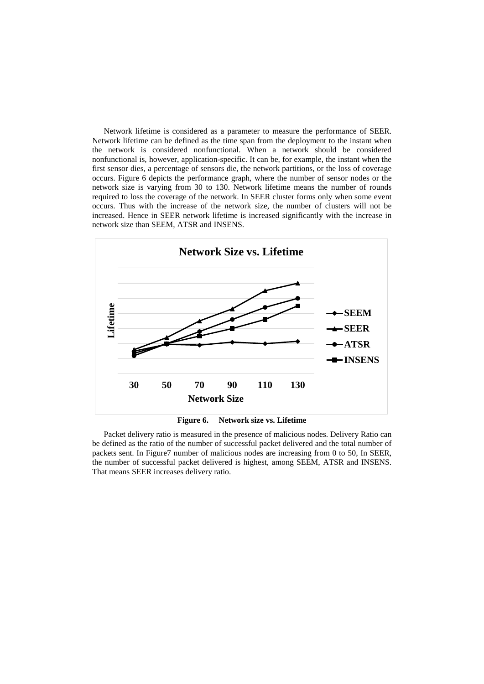Network lifetime is considered as a parameter to measure the performance of SEER. Network lifetime can be defined as the time span from the deployment to the instant when the network is considered nonfunctional. When a network should be considered nonfunctional is, however, application-specific. It can be, for example, the instant when the first sensor dies, a percentage of sensors die, the network partitions, or the loss of coverage occurs. Figure 6 depicts the performance graph, where the number of sensor nodes or the network size is varying from 30 to 130. Network lifetime means the number of rounds required to loss the coverage of the network. In SEER cluster forms only when some event occurs. Thus with the increase of the network size, the number of clusters will not be increased. Hence in SEER network lifetime is increased significantly with the increase in network size than SEEM, ATSR and INSENS.





Packet delivery ratio is measured in the presence of malicious nodes. Delivery Ratio can be defined as the ratio of the number of successful packet delivered and the total number of packets sent. In Figure7 number of malicious nodes are increasing from 0 to 50, In SEER, the number of successful packet delivered is highest, among SEEM, ATSR and INSENS. That means SEER increases delivery ratio.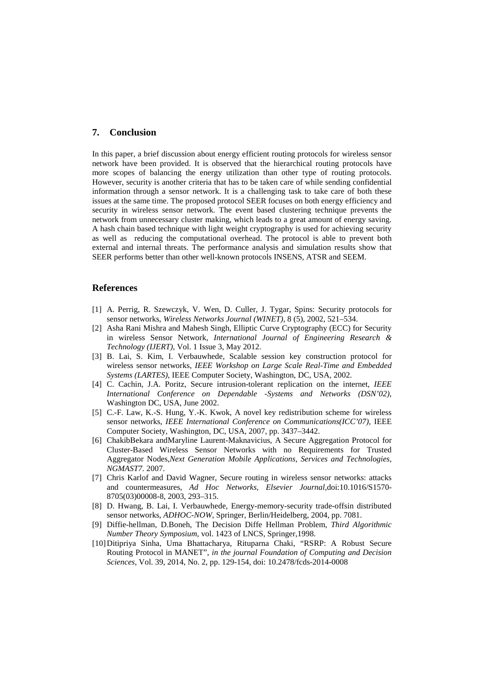### **7. Conclusion**

In this paper, a brief discussion about energy efficient routing protocols for wireless sensor network have been provided. It is observed that the hierarchical routing protocols have more scopes of balancing the energy utilization than other type of routing protocols. However, security is another criteria that has to be taken care of while sending confidential information through a sensor network. It is a challenging task to take care of both these issues at the same time. The proposed protocol SEER focuses on both energy efficiency and security in wireless sensor network. The event based clustering technique prevents the network from unnecessary cluster making, which leads to a great amount of energy saving. A hash chain based technique with light weight cryptography is used for achieving security as well as reducing the computational overhead. The protocol is able to prevent both external and internal threats. The performance analysis and simulation results show that SEER performs better than other well-known protocols INSENS, ATSR and SEEM.

### **References**

- [1] A. Perrig, R. Szewczyk, V. Wen, D. Culler, J. Tygar, Spins: Security protocols for sensor networks, *Wireless Networks Journal (WINET),* 8 (5), 2002, 521–534.
- [2] Asha Rani Mishra and Mahesh Singh, Elliptic Curve Cryptography (ECC) for Security in wireless Sensor Network, *International Journal of Engineering Research & Technology (IJERT)*, Vol. 1 Issue 3, May 2012.
- [3] B. Lai, S. Kim, I. Verbauwhede, Scalable session key construction protocol for wireless sensor networks, *IEEE Workshop on Large Scale Real-Time and Embedded Systems (LARTES),* IEEE Computer Society, Washington, DC, USA, 2002.
- [4] C. Cachin, J.A. Poritz, Secure intrusion-tolerant replication on the internet, *IEEE International Conference on Dependable -Systems and Networks (DSN'02),* Washington DC, USA, June 2002.
- [5] C.-F. Law, K.-S. Hung, Y.-K. Kwok, A novel key redistribution scheme for wireless sensor networks, *IEEE International Conference on Communications(ICC'07),* IEEE Computer Society, Washington, DC, USA, 2007, pp. 3437–3442.
- [6] ChakibBekara andMaryline Laurent-Maknavicius, A Secure Aggregation Protocol for Cluster-Based Wireless Sensor Networks with no Requirements for Trusted Aggregator Nodes,*Next Generation Mobile Applications, Services and Technologies, NGMAST7.* 2007.
- [7] Chris Karlof and David Wagner, Secure routing in wireless sensor networks: attacks and countermeasures, *Ad Hoc Networks, Elsevier Journal*,doi:10.1016/S1570- 8705(03)00008-8, 2003, 293–315.
- [8] D. Hwang, B. Lai, I. Verbauwhede, Energy-memory-security trade-offsin distributed sensor networks, *ADHOC-NOW*, Springer, Berlin/Heidelberg, 2004, pp. 7081.
- [9] Diffie-hellman, D.Boneh, The Decision Diffe Hellman Problem, *Third Algorithmic Number Theory Symposium*, vol. 1423 of LNCS, Springer,1998.
- [10]Ditipriya Sinha, Uma Bhattacharya, Rituparna Chaki, "RSRP: A Robust Secure Routing Protocol in MANET", *in the journal Foundation of Computing and Decision Sciences*, Vol. 39, 2014, No. 2, pp. 129-154, doi[: 10.2478/fcds-2014-0008](http://dx.doi.org/10.2478/fcds-2014-0008)